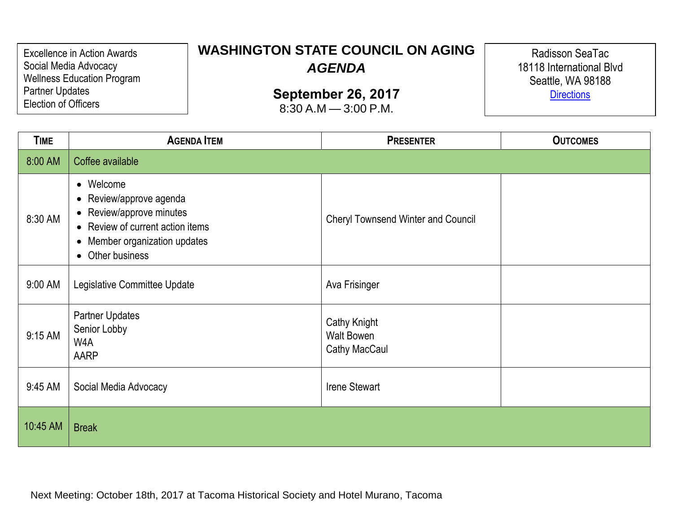Excellence in Action Awards Social Media Advocacy Wellness Education Program Partner Updates Election of Officers

## **WASHINGTON STATE COUNCIL ON AGING** *AGENDA*

**September 26, 2017**

8:30 A.M — 3:00 P.M.

Radisson SeaTac 18118 International Blvd Seattle, WA 98188 **[Directions](https://www.radisson.com/seattle-hotel-wa-)** 

| <b>TIME</b> | <b>AGENDA ITEM</b>                                                                                                                                        | <b>PRESENTER</b>                                          | <b>OUTCOMES</b> |
|-------------|-----------------------------------------------------------------------------------------------------------------------------------------------------------|-----------------------------------------------------------|-----------------|
| 8:00 AM     | Coffee available                                                                                                                                          |                                                           |                 |
| 8:30 AM     | • Welcome<br>• Review/approve agenda<br>• Review/approve minutes<br>• Review of current action items<br>• Member organization updates<br>• Other business | <b>Cheryl Townsend Winter and Council</b>                 |                 |
| 9:00 AM     | Legislative Committee Update                                                                                                                              | Ava Frisinger                                             |                 |
| 9:15 AM     | <b>Partner Updates</b><br>Senior Lobby<br>W4A<br>AARP                                                                                                     | <b>Cathy Knight</b><br><b>Walt Bowen</b><br>Cathy MacCaul |                 |
| 9:45 AM     | Social Media Advocacy                                                                                                                                     | <b>Irene Stewart</b>                                      |                 |
| 10:45 AM    | <b>Break</b>                                                                                                                                              |                                                           |                 |

Next Meeting: October 18th, 2017 at Tacoma Historical Society and Hotel Murano, Tacoma